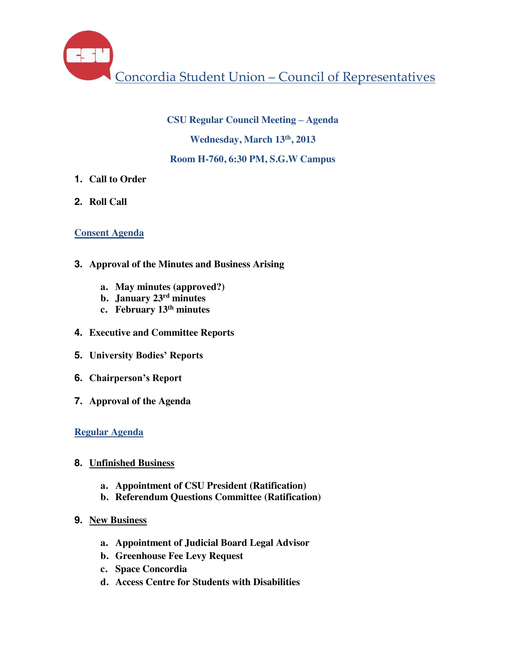Concordia Student Union – Council of Representatives

#### **CSU Regular Council Meeting – Agenda**

**Wednesday, March 13th, 2013**

#### **Room H-760, 6:30 PM, S.G.W Campus**

- **1. Call to Order**
- **2. Roll Call**

#### **Consent Agenda**

- **3. Approval of the Minutes and Business Arising**
	- **a. May minutes (approved?)**
	- **b. January 23rd minutes**
	- **c. February 13th minutes**
- **4. Executive and Committee Reports**
- **5. University Bodies' Reports**
- **6. Chairperson's Report**
- **7. Approval of the Agenda**

# **Regular Agenda**

- **8. Unfinished Business**
	- **a. Appointment of CSU President (Ratification)**
	- **b. Referendum Questions Committee (Ratification)**
- **9. New Business**
	- **a. Appointment of Judicial Board Legal Advisor**
	- **b. Greenhouse Fee Levy Request**
	- **c. Space Concordia**
	- **d. Access Centre for Students with Disabilities**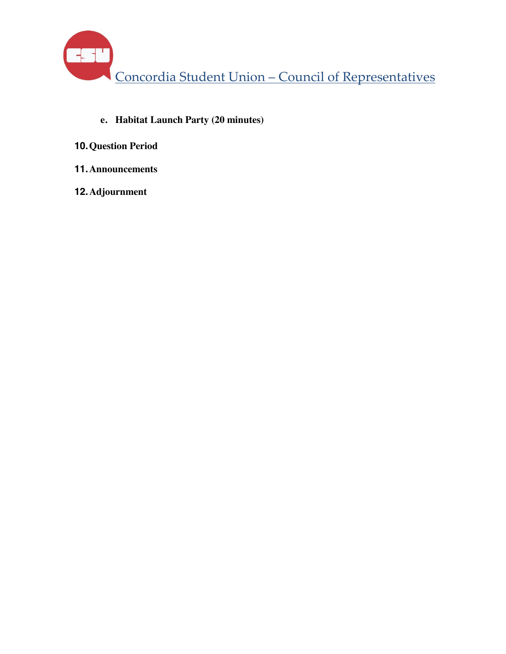Concordia Student Union – Council of Representatives

- **e. Habitat Launch Party (20 minutes)**
- **10.Question Period**
- **11.Announcements**
- **12.Adjournment**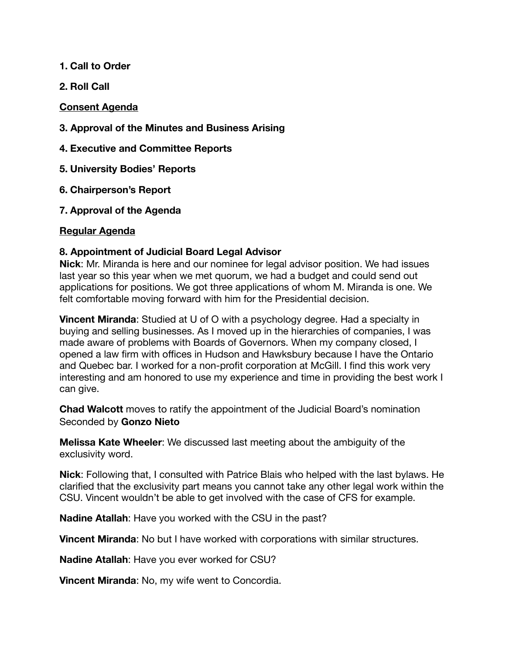#### **1. Call to Order**

**2. Roll Call**

#### **Consent Agenda**

- **3. Approval of the Minutes and Business Arising**
- **4. Executive and Committee Reports**
- **5. University Bodies' Reports**
- **6. Chairperson's Report**
- **7. Approval of the Agenda**

#### **Regular Agenda**

#### **8. Appointment of Judicial Board Legal Advisor**

**Nick**: Mr. Miranda is here and our nominee for legal advisor position. We had issues last year so this year when we met quorum, we had a budget and could send out applications for positions. We got three applications of whom M. Miranda is one. We felt comfortable moving forward with him for the Presidential decision.

**Vincent Miranda**: Studied at U of O with a psychology degree. Had a specialty in buying and selling businesses. As I moved up in the hierarchies of companies, I was made aware of problems with Boards of Governors. When my company closed, I opened a law firm with offices in Hudson and Hawksbury because I have the Ontario and Quebec bar. I worked for a non-profit corporation at McGill. I find this work very interesting and am honored to use my experience and time in providing the best work I can give.

**Chad Walcott** moves to ratify the appointment of the Judicial Board's nomination Seconded by **Gonzo Nieto**

**Melissa Kate Wheeler**: We discussed last meeting about the ambiguity of the exclusivity word.

**Nick**: Following that, I consulted with Patrice Blais who helped with the last bylaws. He clarified that the exclusivity part means you cannot take any other legal work within the CSU. Vincent wouldn't be able to get involved with the case of CFS for example.

**Nadine Atallah**: Have you worked with the CSU in the past?

**Vincent Miranda**: No but I have worked with corporations with similar structures.

**Nadine Atallah**: Have you ever worked for CSU?

**Vincent Miranda**: No, my wife went to Concordia.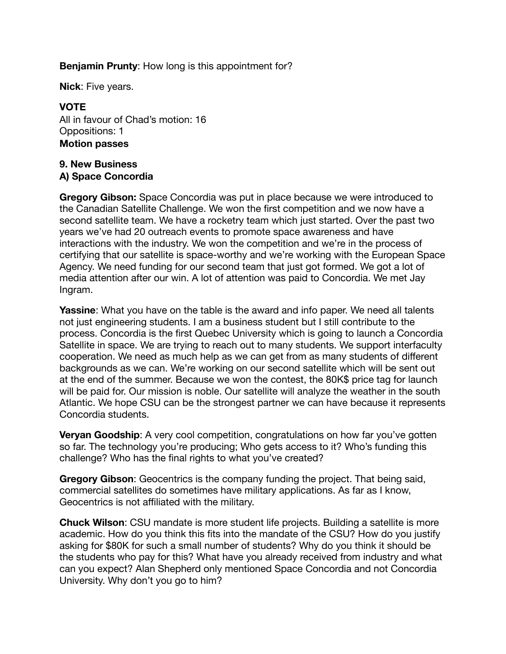#### **Benjamin Prunty**: How long is this appointment for?

**Nick**: Five years.

#### **VOTE**

All in favour of Chad's motion: 16 Oppositions: 1 **Motion passes** 

#### **9. New Business A) Space Concordia**

**Gregory Gibson:** Space Concordia was put in place because we were introduced to the Canadian Satellite Challenge. We won the first competition and we now have a second satellite team. We have a rocketry team which just started. Over the past two years we've had 20 outreach events to promote space awareness and have interactions with the industry. We won the competition and we're in the process of certifying that our satellite is space-worthy and we're working with the European Space Agency. We need funding for our second team that just got formed. We got a lot of media attention after our win. A lot of attention was paid to Concordia. We met Jay Ingram.

**Yassine:** What you have on the table is the award and info paper. We need all talents not just engineering students. I am a business student but I still contribute to the process. Concordia is the first Quebec University which is going to launch a Concordia Satellite in space. We are trying to reach out to many students. We support interfaculty cooperation. We need as much help as we can get from as many students of different backgrounds as we can. We're working on our second satellite which will be sent out at the end of the summer. Because we won the contest, the 80K\$ price tag for launch will be paid for. Our mission is noble. Our satellite will analyze the weather in the south Atlantic. We hope CSU can be the strongest partner we can have because it represents Concordia students.

**Veryan Goodship:** A very cool competition, congratulations on how far you've gotten so far. The technology you're producing; Who gets access to it? Who's funding this challenge? Who has the final rights to what you've created?

**Gregory Gibson**: Geocentrics is the company funding the project. That being said, commercial satellites do sometimes have military applications. As far as I know, Geocentrics is not affiliated with the military.

**Chuck Wilson**: CSU mandate is more student life projects. Building a satellite is more academic. How do you think this fits into the mandate of the CSU? How do you justify asking for \$80K for such a small number of students? Why do you think it should be the students who pay for this? What have you already received from industry and what can you expect? Alan Shepherd only mentioned Space Concordia and not Concordia University. Why don't you go to him?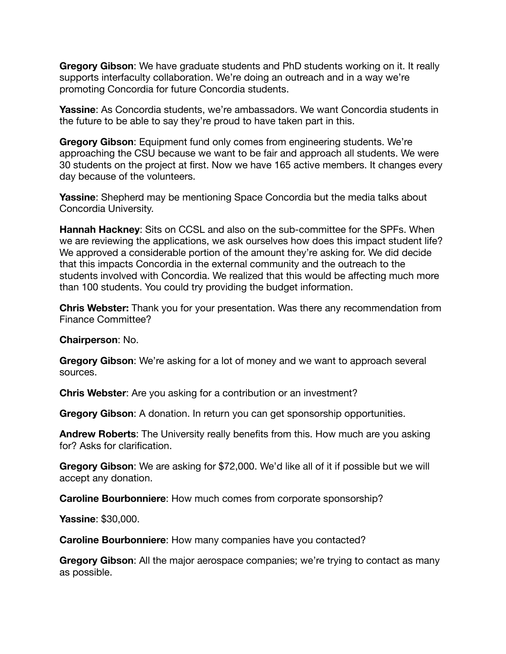**Gregory Gibson**: We have graduate students and PhD students working on it. It really supports interfaculty collaboration. We're doing an outreach and in a way we're promoting Concordia for future Concordia students.

**Yassine**: As Concordia students, we're ambassadors. We want Concordia students in the future to be able to say they're proud to have taken part in this.

**Gregory Gibson**: Equipment fund only comes from engineering students. We're approaching the CSU because we want to be fair and approach all students. We were 30 students on the project at first. Now we have 165 active members. It changes every day because of the volunteers.

**Yassine**: Shepherd may be mentioning Space Concordia but the media talks about Concordia University.

**Hannah Hackney**: Sits on CCSL and also on the sub-committee for the SPFs. When we are reviewing the applications, we ask ourselves how does this impact student life? We approved a considerable portion of the amount they're asking for. We did decide that this impacts Concordia in the external community and the outreach to the students involved with Concordia. We realized that this would be affecting much more than 100 students. You could try providing the budget information.

**Chris Webster:** Thank you for your presentation. Was there any recommendation from Finance Committee?

**Chairperson**: No.

**Gregory Gibson**: We're asking for a lot of money and we want to approach several sources.

**Chris Webster**: Are you asking for a contribution or an investment?

**Gregory Gibson**: A donation. In return you can get sponsorship opportunities.

**Andrew Roberts**: The University really benefits from this. How much are you asking for? Asks for clarification.

**Gregory Gibson**: We are asking for \$72,000. We'd like all of it if possible but we will accept any donation.

**Caroline Bourbonniere**: How much comes from corporate sponsorship?

**Yassine**: \$30,000.

**Caroline Bourbonniere**: How many companies have you contacted?

**Gregory Gibson**: All the major aerospace companies; we're trying to contact as many as possible.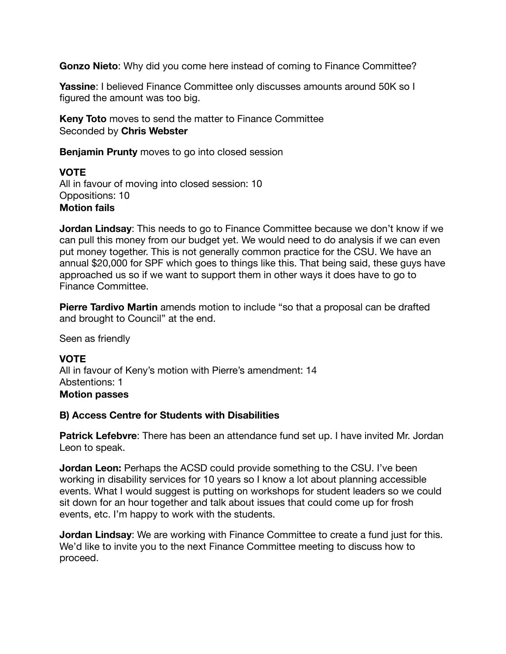**Gonzo Nieto**: Why did you come here instead of coming to Finance Committee?

**Yassine: I believed Finance Committee only discusses amounts around 50K so I** figured the amount was too big.

**Keny Toto** moves to send the matter to Finance Committee Seconded by **Chris Webster**

**Benjamin Prunty** moves to go into closed session

# **VOTE**

All in favour of moving into closed session: 10 Oppositions: 10 **Motion fails**

**Jordan Lindsay**: This needs to go to Finance Committee because we don't know if we can pull this money from our budget yet. We would need to do analysis if we can even put money together. This is not generally common practice for the CSU. We have an annual \$20,000 for SPF which goes to things like this. That being said, these guys have approached us so if we want to support them in other ways it does have to go to Finance Committee.

**Pierre Tardivo Martin** amends motion to include "so that a proposal can be drafted and brought to Council" at the end.

Seen as friendly

# **VOTE**

All in favour of Keny's motion with Pierre's amendment: 14 Abstentions: 1 **Motion passes**

#### **B) Access Centre for Students with Disabilities**

**Patrick Lefebvre**: There has been an attendance fund set up. I have invited Mr. Jordan Leon to speak.

**Jordan Leon:** Perhaps the ACSD could provide something to the CSU. I've been working in disability services for 10 years so I know a lot about planning accessible events. What I would suggest is putting on workshops for student leaders so we could sit down for an hour together and talk about issues that could come up for frosh events, etc. I'm happy to work with the students.

**Jordan Lindsay**: We are working with Finance Committee to create a fund just for this. We'd like to invite you to the next Finance Committee meeting to discuss how to proceed.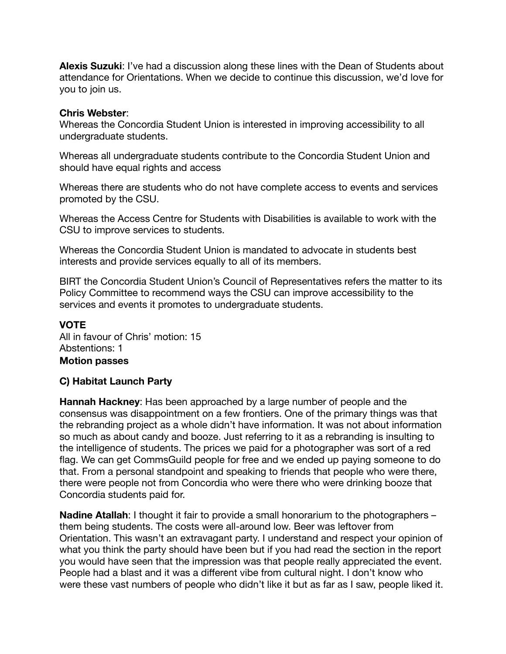**Alexis Suzuki**: I've had a discussion along these lines with the Dean of Students about attendance for Orientations. When we decide to continue this discussion, we'd love for you to join us.

#### **Chris Webster**:

Whereas the Concordia Student Union is interested in improving accessibility to all undergraduate students.

Whereas all undergraduate students contribute to the Concordia Student Union and should have equal rights and access

Whereas there are students who do not have complete access to events and services promoted by the CSU.

Whereas the Access Centre for Students with Disabilities is available to work with the CSU to improve services to students.

Whereas the Concordia Student Union is mandated to advocate in students best interests and provide services equally to all of its members.

BIRT the Concordia Student Union's Council of Representatives refers the matter to its Policy Committee to recommend ways the CSU can improve accessibility to the services and events it promotes to undergraduate students.

#### **VOTE**

All in favour of Chris' motion: 15 Abstentions: 1 **Motion passes** 

#### **C) Habitat Launch Party**

**Hannah Hackney**: Has been approached by a large number of people and the consensus was disappointment on a few frontiers. One of the primary things was that the rebranding project as a whole didn't have information. It was not about information so much as about candy and booze. Just referring to it as a rebranding is insulting to the intelligence of students. The prices we paid for a photographer was sort of a red flag. We can get CommsGuild people for free and we ended up paying someone to do that. From a personal standpoint and speaking to friends that people who were there, there were people not from Concordia who were there who were drinking booze that Concordia students paid for.

**Nadine Atallah:** I thought it fair to provide a small honorarium to the photographers – them being students. The costs were all-around low. Beer was leftover from Orientation. This wasn't an extravagant party. I understand and respect your opinion of what you think the party should have been but if you had read the section in the report you would have seen that the impression was that people really appreciated the event. People had a blast and it was a different vibe from cultural night. I don't know who were these vast numbers of people who didn't like it but as far as I saw, people liked it.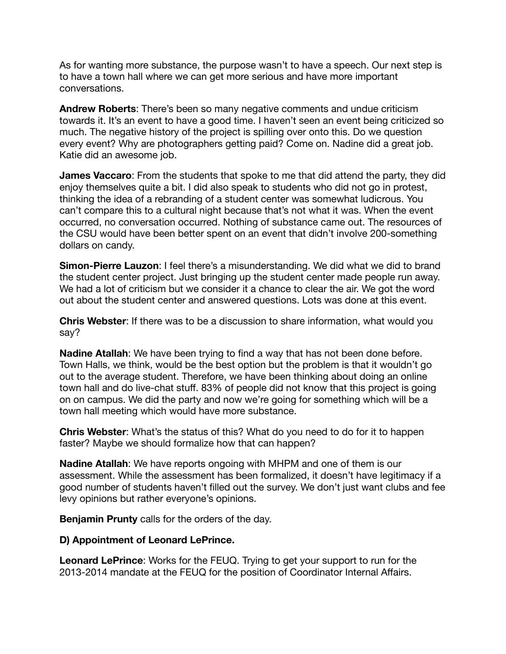As for wanting more substance, the purpose wasn't to have a speech. Our next step is to have a town hall where we can get more serious and have more important conversations.

**Andrew Roberts**: There's been so many negative comments and undue criticism towards it. It's an event to have a good time. I haven't seen an event being criticized so much. The negative history of the project is spilling over onto this. Do we question every event? Why are photographers getting paid? Come on. Nadine did a great job. Katie did an awesome job.

**James Vaccaro**: From the students that spoke to me that did attend the party, they did enjoy themselves quite a bit. I did also speak to students who did not go in protest, thinking the idea of a rebranding of a student center was somewhat ludicrous. You can't compare this to a cultural night because that's not what it was. When the event occurred, no conversation occurred. Nothing of substance came out. The resources of the CSU would have been better spent on an event that didn't involve 200-something dollars on candy.

**Simon-Pierre Lauzon**: I feel there's a misunderstanding. We did what we did to brand the student center project. Just bringing up the student center made people run away. We had a lot of criticism but we consider it a chance to clear the air. We got the word out about the student center and answered questions. Lots was done at this event.

**Chris Webster**: If there was to be a discussion to share information, what would you say?

**Nadine Atallah**: We have been trying to find a way that has not been done before. Town Halls, we think, would be the best option but the problem is that it wouldn't go out to the average student. Therefore, we have been thinking about doing an online town hall and do live-chat stuff. 83% of people did not know that this project is going on on campus. We did the party and now we're going for something which will be a town hall meeting which would have more substance.

**Chris Webster**: What's the status of this? What do you need to do for it to happen faster? Maybe we should formalize how that can happen?

**Nadine Atallah**: We have reports ongoing with MHPM and one of them is our assessment. While the assessment has been formalized, it doesn't have legitimacy if a good number of students haven't filled out the survey. We don't just want clubs and fee levy opinions but rather everyone's opinions.

**Benjamin Prunty** calls for the orders of the day.

#### **D) Appointment of Leonard LePrince.**

**Leonard LePrince**: Works for the FEUQ. Trying to get your support to run for the 2013-2014 mandate at the FEUQ for the position of Coordinator Internal Affairs.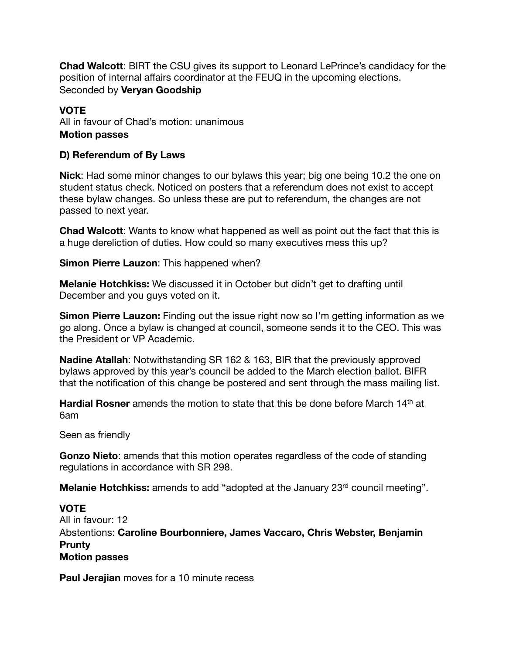**Chad Walcott**: BIRT the CSU gives its support to Leonard LePrince's candidacy for the position of internal affairs coordinator at the FEUQ in the upcoming elections. Seconded by **Veryan Goodship**

# **VOTE**

All in favour of Chad's motion: unanimous **Motion passes** 

#### **D) Referendum of By Laws**

**Nick**: Had some minor changes to our bylaws this year; big one being 10.2 the one on student status check. Noticed on posters that a referendum does not exist to accept these bylaw changes. So unless these are put to referendum, the changes are not passed to next year.

**Chad Walcott**: Wants to know what happened as well as point out the fact that this is a huge dereliction of duties. How could so many executives mess this up?

**Simon Pierre Lauzon**: This happened when?

**Melanie Hotchkiss:** We discussed it in October but didn't get to drafting until December and you guys voted on it.

**Simon Pierre Lauzon:** Finding out the issue right now so I'm getting information as we go along. Once a bylaw is changed at council, someone sends it to the CEO. This was the President or VP Academic.

**Nadine Atallah**: Notwithstanding SR 162 & 163, BIR that the previously approved bylaws approved by this year's council be added to the March election ballot. BIFR that the notification of this change be postered and sent through the mass mailing list.

**Hardial Rosner** amends the motion to state that this be done before March 14<sup>th</sup> at 6am

Seen as friendly

**Gonzo Nieto**: amends that this motion operates regardless of the code of standing regulations in accordance with SR 298.

**Melanie Hotchkiss:** amends to add "adopted at the January 23<sup>rd</sup> council meeting".

# **VOTE**

All in favour: 12 Abstentions: **Caroline Bourbonniere, James Vaccaro, Chris Webster, Benjamin Prunty Motion passes** 

**Paul Jerajian** moves for a 10 minute recess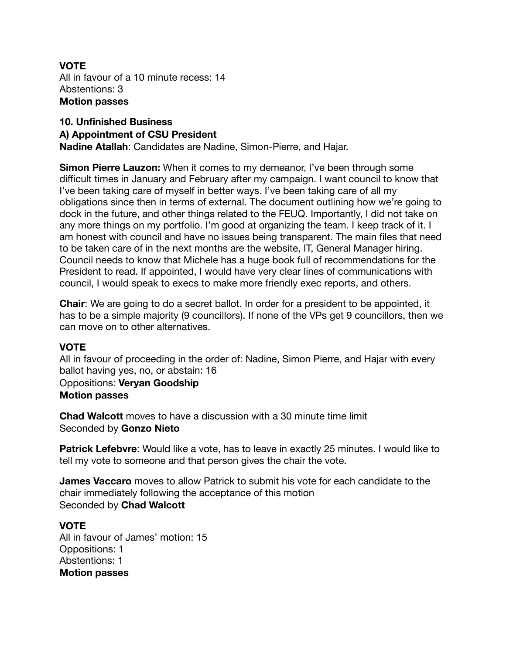#### **VOTE** All in favour of a 10 minute recess: 14 Abstentions: 3 **Motion passes**

# **10. Unfinished Business A) Appointment of CSU President**

**Nadine Atallah**: Candidates are Nadine, Simon-Pierre, and Hajar.

**Simon Pierre Lauzon:** When it comes to my demeanor, I've been through some difficult times in January and February after my campaign. I want council to know that I've been taking care of myself in better ways. I've been taking care of all my obligations since then in terms of external. The document outlining how we're going to dock in the future, and other things related to the FEUQ. Importantly, I did not take on any more things on my portfolio. I'm good at organizing the team. I keep track of it. I am honest with council and have no issues being transparent. The main files that need to be taken care of in the next months are the website, IT, General Manager hiring. Council needs to know that Michele has a huge book full of recommendations for the President to read. If appointed, I would have very clear lines of communications with council, I would speak to execs to make more friendly exec reports, and others.

**Chair**: We are going to do a secret ballot. In order for a president to be appointed, it has to be a simple majority (9 councillors). If none of the VPs get 9 councillors, then we can move on to other alternatives.

# **VOTE**

All in favour of proceeding in the order of: Nadine, Simon Pierre, and Hajar with every ballot having yes, no, or abstain: 16

Oppositions: **Veryan Goodship Motion passes** 

**Chad Walcott** moves to have a discussion with a 30 minute time limit Seconded by **Gonzo Nieto**

**Patrick Lefebvre**: Would like a vote, has to leave in exactly 25 minutes. I would like to tell my vote to someone and that person gives the chair the vote.

**James Vaccaro** moves to allow Patrick to submit his vote for each candidate to the chair immediately following the acceptance of this motion Seconded by **Chad Walcott**

# **VOTE**

All in favour of James' motion: 15 Oppositions: 1 Abstentions: 1 **Motion passes**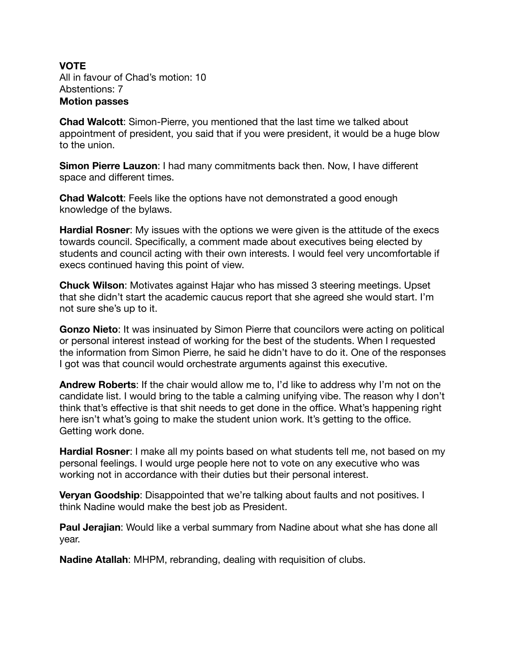# **VOTE**

All in favour of Chad's motion: 10 Abstentions: 7 **Motion passes** 

**Chad Walcott**: Simon-Pierre, you mentioned that the last time we talked about appointment of president, you said that if you were president, it would be a huge blow to the union.

**Simon Pierre Lauzon**: I had many commitments back then. Now, I have different space and different times.

**Chad Walcott**: Feels like the options have not demonstrated a good enough knowledge of the bylaws.

**Hardial Rosner:** My issues with the options we were given is the attitude of the execs towards council. Specifically, a comment made about executives being elected by students and council acting with their own interests. I would feel very uncomfortable if execs continued having this point of view.

**Chuck Wilson**: Motivates against Hajar who has missed 3 steering meetings. Upset that she didn't start the academic caucus report that she agreed she would start. I'm not sure she's up to it.

**Gonzo Nieto**: It was insinuated by Simon Pierre that councilors were acting on political or personal interest instead of working for the best of the students. When I requested the information from Simon Pierre, he said he didn't have to do it. One of the responses I got was that council would orchestrate arguments against this executive.

**Andrew Roberts**: If the chair would allow me to, I'd like to address why I'm not on the candidate list. I would bring to the table a calming unifying vibe. The reason why I don't think that's effective is that shit needs to get done in the office. What's happening right here isn't what's going to make the student union work. It's getting to the office. Getting work done.

**Hardial Rosner**: I make all my points based on what students tell me, not based on my personal feelings. I would urge people here not to vote on any executive who was working not in accordance with their duties but their personal interest.

**Veryan Goodship**: Disappointed that we're talking about faults and not positives. I think Nadine would make the best job as President.

**Paul Jerajian**: Would like a verbal summary from Nadine about what she has done all year.

**Nadine Atallah**: MHPM, rebranding, dealing with requisition of clubs.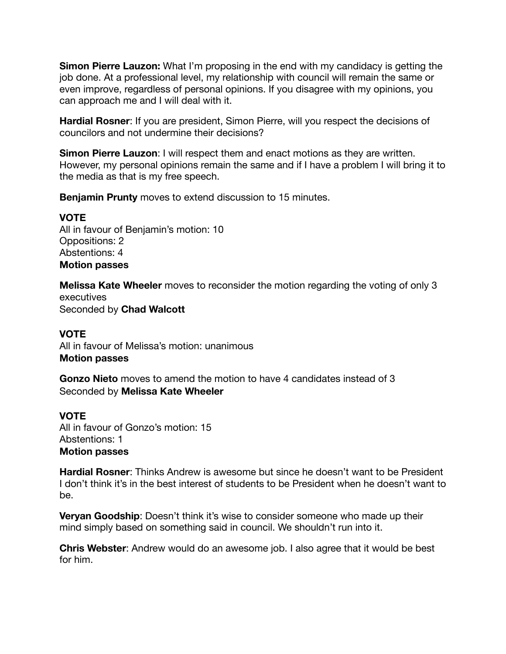**Simon Pierre Lauzon:** What I'm proposing in the end with my candidacy is getting the job done. At a professional level, my relationship with council will remain the same or even improve, regardless of personal opinions. If you disagree with my opinions, you can approach me and I will deal with it.

**Hardial Rosner**: If you are president, Simon Pierre, will you respect the decisions of councilors and not undermine their decisions?

**Simon Pierre Lauzon:** I will respect them and enact motions as they are written. However, my personal opinions remain the same and if I have a problem I will bring it to the media as that is my free speech.

**Benjamin Prunty** moves to extend discussion to 15 minutes.

# **VOTE**

All in favour of Benjamin's motion: 10 Oppositions: 2 Abstentions: 4 **Motion passes** 

**Melissa Kate Wheeler** moves to reconsider the motion regarding the voting of only 3 executives Seconded by **Chad Walcott**

# **VOTE**

All in favour of Melissa's motion: unanimous **Motion passes** 

**Gonzo Nieto** moves to amend the motion to have 4 candidates instead of 3 Seconded by **Melissa Kate Wheeler** 

# **VOTE**

All in favour of Gonzo's motion: 15 Abstentions: 1 **Motion passes** 

**Hardial Rosner**: Thinks Andrew is awesome but since he doesn't want to be President I don't think it's in the best interest of students to be President when he doesn't want to be.

**Veryan Goodship**: Doesn't think it's wise to consider someone who made up their mind simply based on something said in council. We shouldn't run into it.

**Chris Webster**: Andrew would do an awesome job. I also agree that it would be best for him.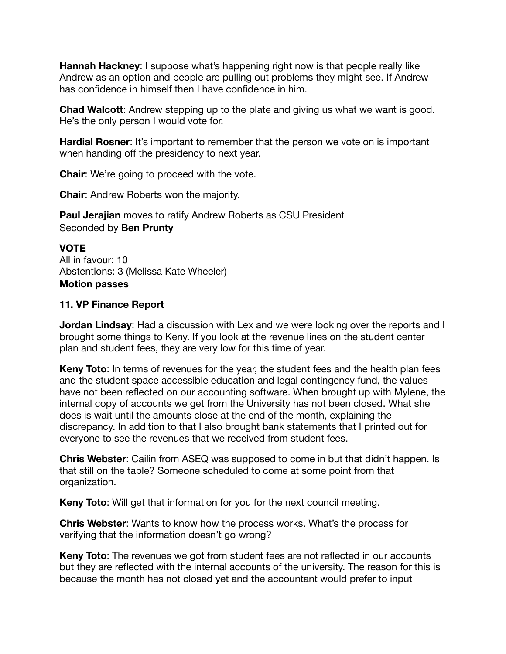**Hannah Hackney**: I suppose what's happening right now is that people really like Andrew as an option and people are pulling out problems they might see. If Andrew has confidence in himself then I have confidence in him.

**Chad Walcott**: Andrew stepping up to the plate and giving us what we want is good. He's the only person I would vote for.

**Hardial Rosner**: It's important to remember that the person we vote on is important when handing off the presidency to next year.

**Chair**: We're going to proceed with the vote.

**Chair**: Andrew Roberts won the majority.

**Paul Jerajian** moves to ratify Andrew Roberts as CSU President Seconded by **Ben Prunty**

**VOTE** All in favour: 10 Abstentions: 3 (Melissa Kate Wheeler) **Motion passes** 

#### **11. VP Finance Report**

**Jordan Lindsay**: Had a discussion with Lex and we were looking over the reports and I brought some things to Keny. If you look at the revenue lines on the student center plan and student fees, they are very low for this time of year.

**Keny Toto**: In terms of revenues for the year, the student fees and the health plan fees and the student space accessible education and legal contingency fund, the values have not been reflected on our accounting software. When brought up with Mylene, the internal copy of accounts we get from the University has not been closed. What she does is wait until the amounts close at the end of the month, explaining the discrepancy. In addition to that I also brought bank statements that I printed out for everyone to see the revenues that we received from student fees.

**Chris Webster**: Cailin from ASEQ was supposed to come in but that didn't happen. Is that still on the table? Someone scheduled to come at some point from that organization.

**Keny Toto**: Will get that information for you for the next council meeting.

**Chris Webster**: Wants to know how the process works. What's the process for verifying that the information doesn't go wrong?

**Keny Toto**: The revenues we got from student fees are not reflected in our accounts but they are reflected with the internal accounts of the university. The reason for this is because the month has not closed yet and the accountant would prefer to input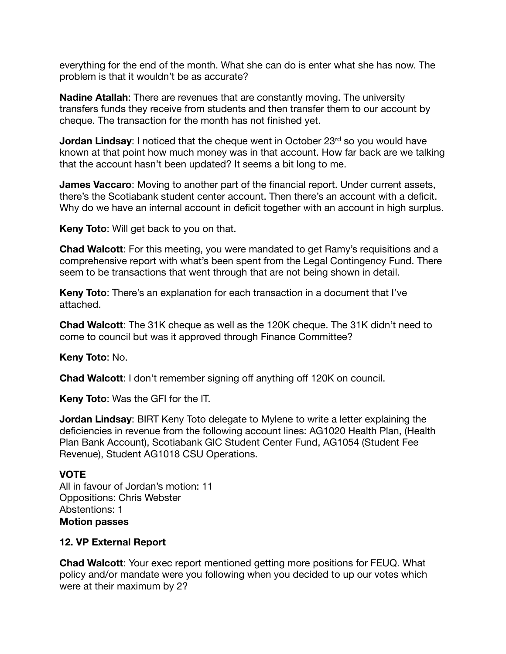everything for the end of the month. What she can do is enter what she has now. The problem is that it wouldn't be as accurate?

**Nadine Atallah**: There are revenues that are constantly moving. The university transfers funds they receive from students and then transfer them to our account by cheque. The transaction for the month has not finished yet.

**Jordan Lindsay**: I noticed that the cheque went in October 23<sup>rd</sup> so you would have known at that point how much money was in that account. How far back are we talking that the account hasn't been updated? It seems a bit long to me.

**James Vaccaro**: Moving to another part of the financial report. Under current assets, there's the Scotiabank student center account. Then there's an account with a deficit. Why do we have an internal account in deficit together with an account in high surplus.

**Keny Toto**: Will get back to you on that.

**Chad Walcott**: For this meeting, you were mandated to get Ramy's requisitions and a comprehensive report with what's been spent from the Legal Contingency Fund. There seem to be transactions that went through that are not being shown in detail.

**Keny Toto**: There's an explanation for each transaction in a document that I've attached.

**Chad Walcott**: The 31K cheque as well as the 120K cheque. The 31K didn't need to come to council but was it approved through Finance Committee?

**Keny Toto**: No.

**Chad Walcott**: I don't remember signing off anything off 120K on council.

**Keny Toto**: Was the GFI for the IT.

**Jordan Lindsay**: BIRT Keny Toto delegate to Mylene to write a letter explaining the deficiencies in revenue from the following account lines: AG1020 Health Plan, (Health Plan Bank Account), Scotiabank GIC Student Center Fund, AG1054 (Student Fee Revenue), Student AG1018 CSU Operations.

#### **VOTE**

All in favour of Jordan's motion: 11 Oppositions: Chris Webster Abstentions: 1 **Motion passes** 

#### **12. VP External Report**

**Chad Walcott**: Your exec report mentioned getting more positions for FEUQ. What policy and/or mandate were you following when you decided to up our votes which were at their maximum by 2?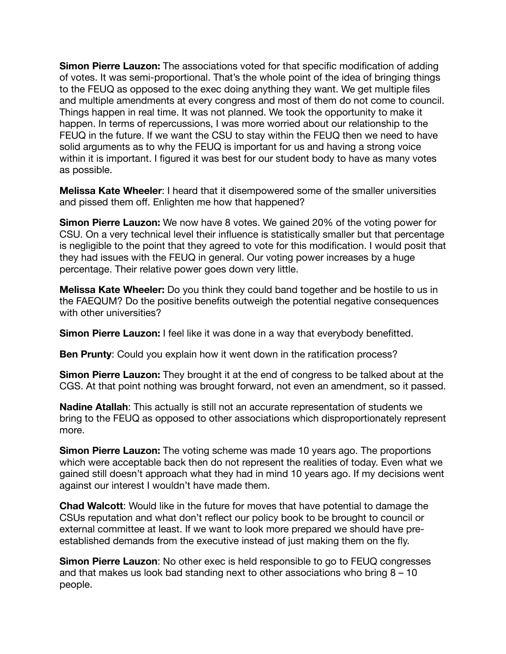**Simon Pierre Lauzon:** The associations voted for that specific modification of adding of votes. It was semi-proportional. That's the whole point of the idea of bringing things to the FEUQ as opposed to the exec doing anything they want. We get multiple files and multiple amendments at every congress and most of them do not come to council. Things happen in real time. It was not planned. We took the opportunity to make it happen. In terms of repercussions, I was more worried about our relationship to the FEUQ in the future. If we want the CSU to stay within the FEUQ then we need to have solid arguments as to why the FEUQ is important for us and having a strong voice within it is important. I figured it was best for our student body to have as many votes as possible.

**Melissa Kate Wheeler**: I heard that it disempowered some of the smaller universities and pissed them off. Enlighten me how that happened?

**Simon Pierre Lauzon:** We now have 8 votes. We gained 20% of the voting power for CSU. On a very technical level their influence is statistically smaller but that percentage is negligible to the point that they agreed to vote for this modification. I would posit that they had issues with the FEUQ in general. Our voting power increases by a huge percentage. Their relative power goes down very little.

**Melissa Kate Wheeler:** Do you think they could band together and be hostile to us in the FAEQUM? Do the positive benefits outweigh the potential negative consequences with other universities?

**Simon Pierre Lauzon:** I feel like it was done in a way that everybody benefitted.

**Ben Prunty**: Could you explain how it went down in the ratification process?

**Simon Pierre Lauzon:** They brought it at the end of congress to be talked about at the CGS. At that point nothing was brought forward, not even an amendment, so it passed.

**Nadine Atallah**: This actually is still not an accurate representation of students we bring to the FEUQ as opposed to other associations which disproportionately represent more.

**Simon Pierre Lauzon:** The voting scheme was made 10 years ago. The proportions which were acceptable back then do not represent the realities of today. Even what we gained still doesn't approach what they had in mind 10 years ago. If my decisions went against our interest I wouldn't have made them.

**Chad Walcott**: Would like in the future for moves that have potential to damage the CSUs reputation and what don't reflect our policy book to be brought to council or external committee at least. If we want to look more prepared we should have preestablished demands from the executive instead of just making them on the fly.

**Simon Pierre Lauzon**: No other exec is held responsible to go to FEUQ congresses and that makes us look bad standing next to other associations who bring 8 – 10 people.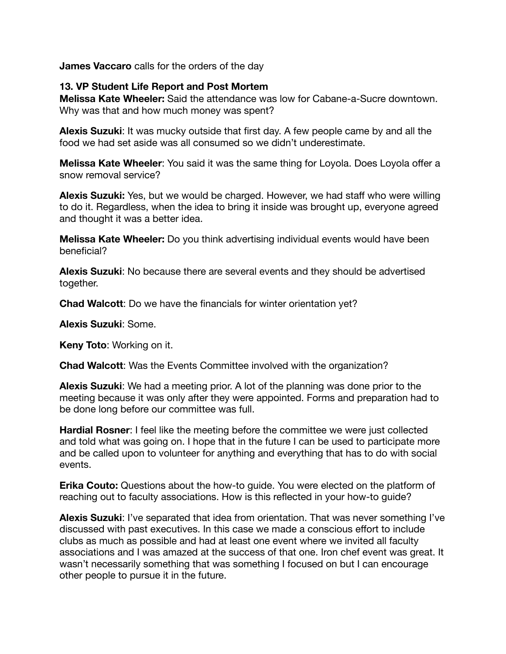**James Vaccaro** calls for the orders of the day

#### **13. VP Student Life Report and Post Mortem**

**Melissa Kate Wheeler:** Said the attendance was low for Cabane-a-Sucre downtown. Why was that and how much money was spent?

**Alexis Suzuki**: It was mucky outside that first day. A few people came by and all the food we had set aside was all consumed so we didn't underestimate.

**Melissa Kate Wheeler**: You said it was the same thing for Loyola. Does Loyola offer a snow removal service?

**Alexis Suzuki:** Yes, but we would be charged. However, we had staff who were willing to do it. Regardless, when the idea to bring it inside was brought up, everyone agreed and thought it was a better idea.

**Melissa Kate Wheeler:** Do you think advertising individual events would have been beneficial?

**Alexis Suzuki**: No because there are several events and they should be advertised together.

**Chad Walcott**: Do we have the financials for winter orientation yet?

**Alexis Suzuki**: Some.

**Keny Toto**: Working on it.

**Chad Walcott**: Was the Events Committee involved with the organization?

**Alexis Suzuki**: We had a meeting prior. A lot of the planning was done prior to the meeting because it was only after they were appointed. Forms and preparation had to be done long before our committee was full.

**Hardial Rosner**: I feel like the meeting before the committee we were just collected and told what was going on. I hope that in the future I can be used to participate more and be called upon to volunteer for anything and everything that has to do with social events.

**Erika Couto:** Questions about the how-to guide. You were elected on the platform of reaching out to faculty associations. How is this reflected in your how-to guide?

**Alexis Suzuki**: I've separated that idea from orientation. That was never something I've discussed with past executives. In this case we made a conscious effort to include clubs as much as possible and had at least one event where we invited all faculty associations and I was amazed at the success of that one. Iron chef event was great. It wasn't necessarily something that was something I focused on but I can encourage other people to pursue it in the future.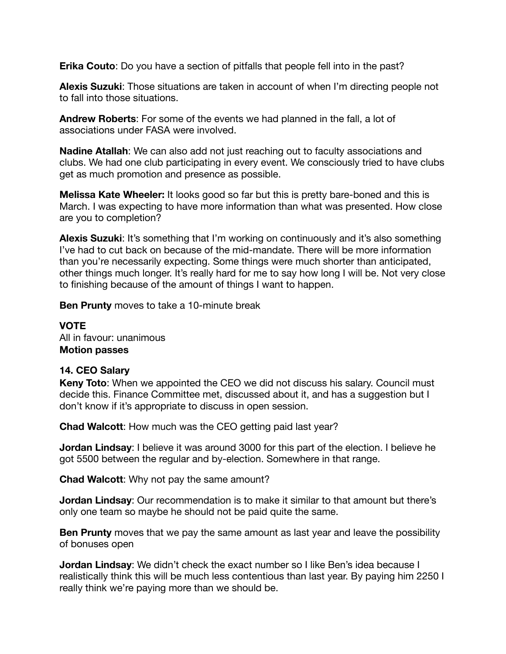**Erika Couto**: Do you have a section of pitfalls that people fell into in the past?

**Alexis Suzuki**: Those situations are taken in account of when I'm directing people not to fall into those situations.

**Andrew Roberts**: For some of the events we had planned in the fall, a lot of associations under FASA were involved.

**Nadine Atallah**: We can also add not just reaching out to faculty associations and clubs. We had one club participating in every event. We consciously tried to have clubs get as much promotion and presence as possible.

**Melissa Kate Wheeler:** It looks good so far but this is pretty bare-boned and this is March. I was expecting to have more information than what was presented. How close are you to completion?

**Alexis Suzuki**: It's something that I'm working on continuously and it's also something I've had to cut back on because of the mid-mandate. There will be more information than you're necessarily expecting. Some things were much shorter than anticipated, other things much longer. It's really hard for me to say how long I will be. Not very close to finishing because of the amount of things I want to happen.

**Ben Prunty** moves to take a 10-minute break

**VOTE** All in favour: unanimous **Motion passes** 

# **14. CEO Salary**

**Keny Toto**: When we appointed the CEO we did not discuss his salary. Council must decide this. Finance Committee met, discussed about it, and has a suggestion but I don't know if it's appropriate to discuss in open session.

**Chad Walcott**: How much was the CEO getting paid last year?

**Jordan Lindsay**: I believe it was around 3000 for this part of the election. I believe he got 5500 between the regular and by-election. Somewhere in that range.

**Chad Walcott**: Why not pay the same amount?

**Jordan Lindsay**: Our recommendation is to make it similar to that amount but there's only one team so maybe he should not be paid quite the same.

**Ben Prunty** moves that we pay the same amount as last year and leave the possibility of bonuses open

**Jordan Lindsay**: We didn't check the exact number so I like Ben's idea because I realistically think this will be much less contentious than last year. By paying him 2250 I really think we're paying more than we should be.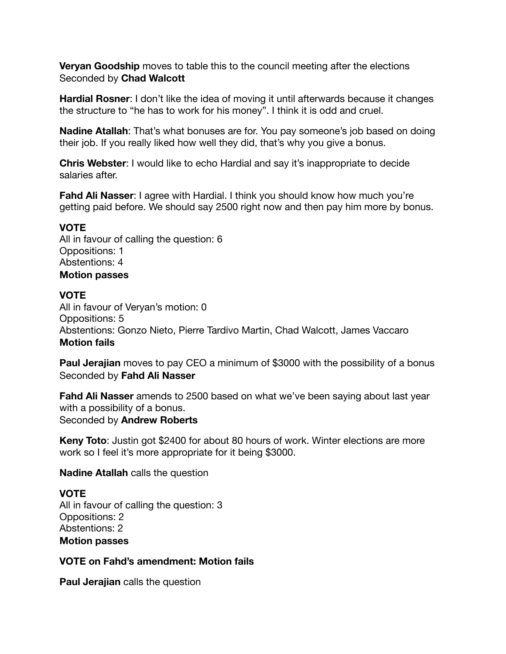**Veryan Goodship** moves to table this to the council meeting after the elections Seconded by **Chad Walcott**

**Hardial Rosner**: I don't like the idea of moving it until afterwards because it changes the structure to "he has to work for his money". I think it is odd and cruel.

**Nadine Atallah**: That's what bonuses are for. You pay someone's job based on doing their job. If you really liked how well they did, that's why you give a bonus.

**Chris Webster**: I would like to echo Hardial and say it's inappropriate to decide salaries after.

**Fahd Ali Nasser: I agree with Hardial. I think you should know how much you're** getting paid before. We should say 2500 right now and then pay him more by bonus.

#### **VOTE**

All in favour of calling the question: 6 Oppositions: 1 Abstentions: 4 **Motion passes** 

# **VOTE**

All in favour of Veryan's motion: 0 Oppositions: 5 Abstentions: Gonzo Nieto, Pierre Tardivo Martin, Chad Walcott, James Vaccaro **Motion fails** 

**Paul Jerajian** moves to pay CEO a minimum of \$3000 with the possibility of a bonus Seconded by **Fahd Ali Nasser**

**Fahd Ali Nasser** amends to 2500 based on what we've been saying about last year with a possibility of a bonus. Seconded by **Andrew Roberts**

**Keny Toto**: Justin got \$2400 for about 80 hours of work. Winter elections are more work so I feel it's more appropriate for it being \$3000.

**Nadine Atallah** calls the question

# **VOTE**

All in favour of calling the question: 3 Oppositions: 2 Abstentions: 2 **Motion passes** 

# **VOTE on Fahd's amendment: Motion fails**

**Paul Jerajian** calls the question